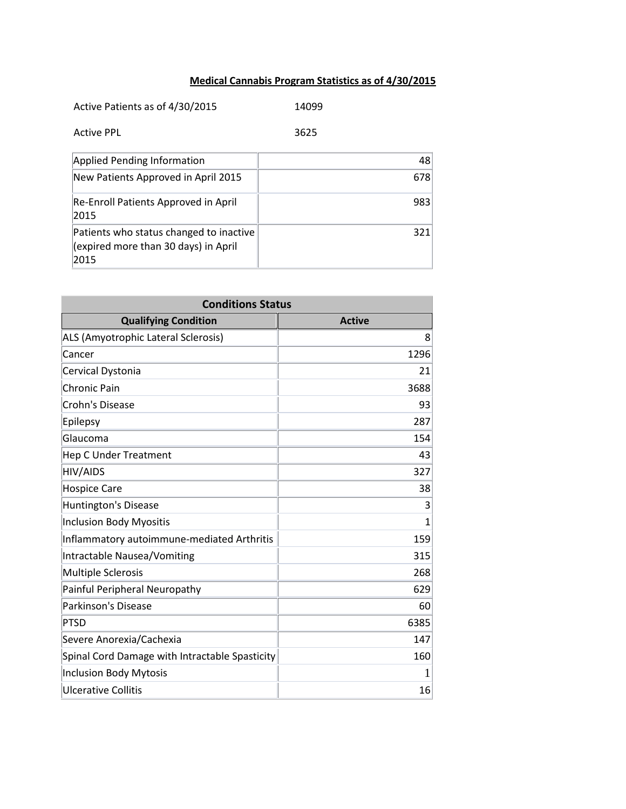## **Medical Cannabis Program Statistics as of 4/30/2015**

| Active Patients as of 4/30/2015                                                         | 14099 |
|-----------------------------------------------------------------------------------------|-------|
| <b>Active PPL</b>                                                                       | 3625  |
| <b>Applied Pending Information</b>                                                      | 48    |
| New Patients Approved in April 2015                                                     | 678   |
| Re-Enroll Patients Approved in April<br>2015                                            | 983   |
| Patients who status changed to inactive<br>(expired more than 30 days) in April<br>2015 | 321   |

| <b>Conditions Status</b>                       |                |
|------------------------------------------------|----------------|
| <b>Qualifying Condition</b>                    | <b>Active</b>  |
| ALS (Amyotrophic Lateral Sclerosis)            | 8              |
| Cancer                                         | 1296           |
| Cervical Dystonia                              | 21             |
| <b>Chronic Pain</b>                            | 3688           |
| Crohn's Disease                                | 93             |
| Epilepsy                                       | 287            |
| Glaucoma                                       | 154            |
| <b>Hep C Under Treatment</b>                   | 43             |
| <b>HIV/AIDS</b>                                | 327            |
| <b>Hospice Care</b>                            | 38             |
| <b>Huntington's Disease</b>                    | 3              |
| <b>Inclusion Body Myositis</b>                 | $\overline{1}$ |
| Inflammatory autoimmune-mediated Arthritis     | 159            |
| Intractable Nausea/Vomiting                    | 315            |
| <b>Multiple Sclerosis</b>                      | 268            |
| Painful Peripheral Neuropathy                  | 629            |
| Parkinson's Disease                            | 60             |
| <b>PTSD</b>                                    | 6385           |
| Severe Anorexia/Cachexia                       | 147            |
| Spinal Cord Damage with Intractable Spasticity | 160            |
| <b>Inclusion Body Mytosis</b>                  | 1              |
| <b>Ulcerative Collitis</b>                     | 16             |